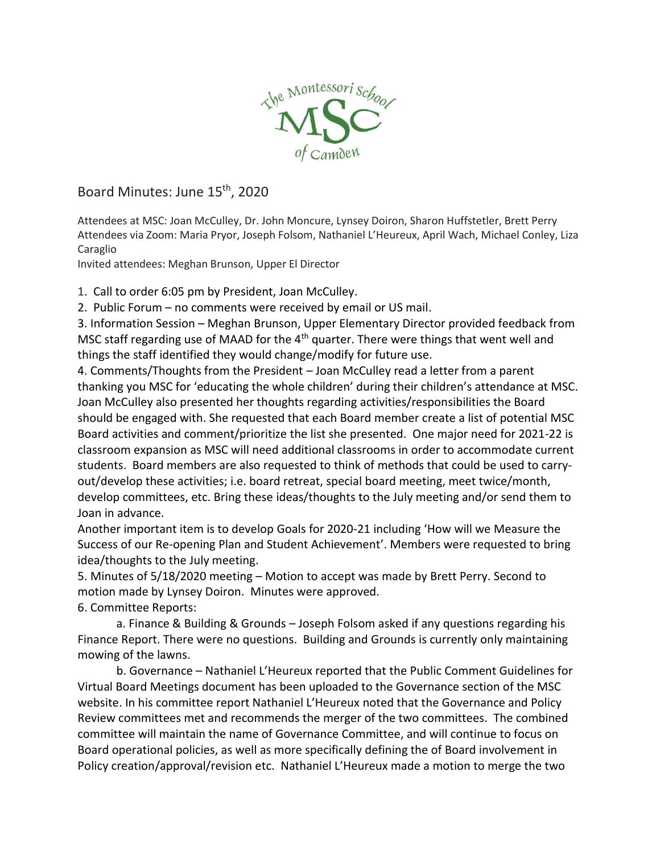

## Board Minutes: June 15<sup>th</sup>, 2020

Attendees at MSC: Joan McCulley, Dr. John Moncure, Lynsey Doiron, Sharon Huffstetler, Brett Perry Attendees via Zoom: Maria Pryor, Joseph Folsom, Nathaniel L'Heureux, April Wach, Michael Conley, Liza Caraglio

Invited attendees: Meghan Brunson, Upper El Director

1. Call to order 6:05 pm by President, Joan McCulley.

2. Public Forum – no comments were received by email or US mail.

3. Information Session – Meghan Brunson, Upper Elementary Director provided feedback from MSC staff regarding use of MAAD for the  $4<sup>th</sup>$  quarter. There were things that went well and things the staff identified they would change/modify for future use.

4. Comments/Thoughts from the President – Joan McCulley read a letter from a parent thanking you MSC for 'educating the whole children' during their children's attendance at MSC. Joan McCulley also presented her thoughts regarding activities/responsibilities the Board should be engaged with. She requested that each Board member create a list of potential MSC Board activities and comment/prioritize the list she presented. One major need for 2021-22 is classroom expansion as MSC will need additional classrooms in order to accommodate current students. Board members are also requested to think of methods that could be used to carryout/develop these activities; i.e. board retreat, special board meeting, meet twice/month, develop committees, etc. Bring these ideas/thoughts to the July meeting and/or send them to Joan in advance.

Another important item is to develop Goals for 2020-21 including 'How will we Measure the Success of our Re-opening Plan and Student Achievement'. Members were requested to bring idea/thoughts to the July meeting.

5. Minutes of 5/18/2020 meeting – Motion to accept was made by Brett Perry. Second to motion made by Lynsey Doiron. Minutes were approved.

6. Committee Reports:

a. Finance & Building & Grounds – Joseph Folsom asked if any questions regarding his Finance Report. There were no questions. Building and Grounds is currently only maintaining mowing of the lawns.

b. Governance – Nathaniel L'Heureux reported that the Public Comment Guidelines for Virtual Board Meetings document has been uploaded to the Governance section of the MSC website. In his committee report Nathaniel L'Heureux noted that the Governance and Policy Review committees met and recommends the merger of the two committees. The combined committee will maintain the name of Governance Committee, and will continue to focus on Board operational policies, as well as more specifically defining the of Board involvement in Policy creation/approval/revision etc. Nathaniel L'Heureux made a motion to merge the two